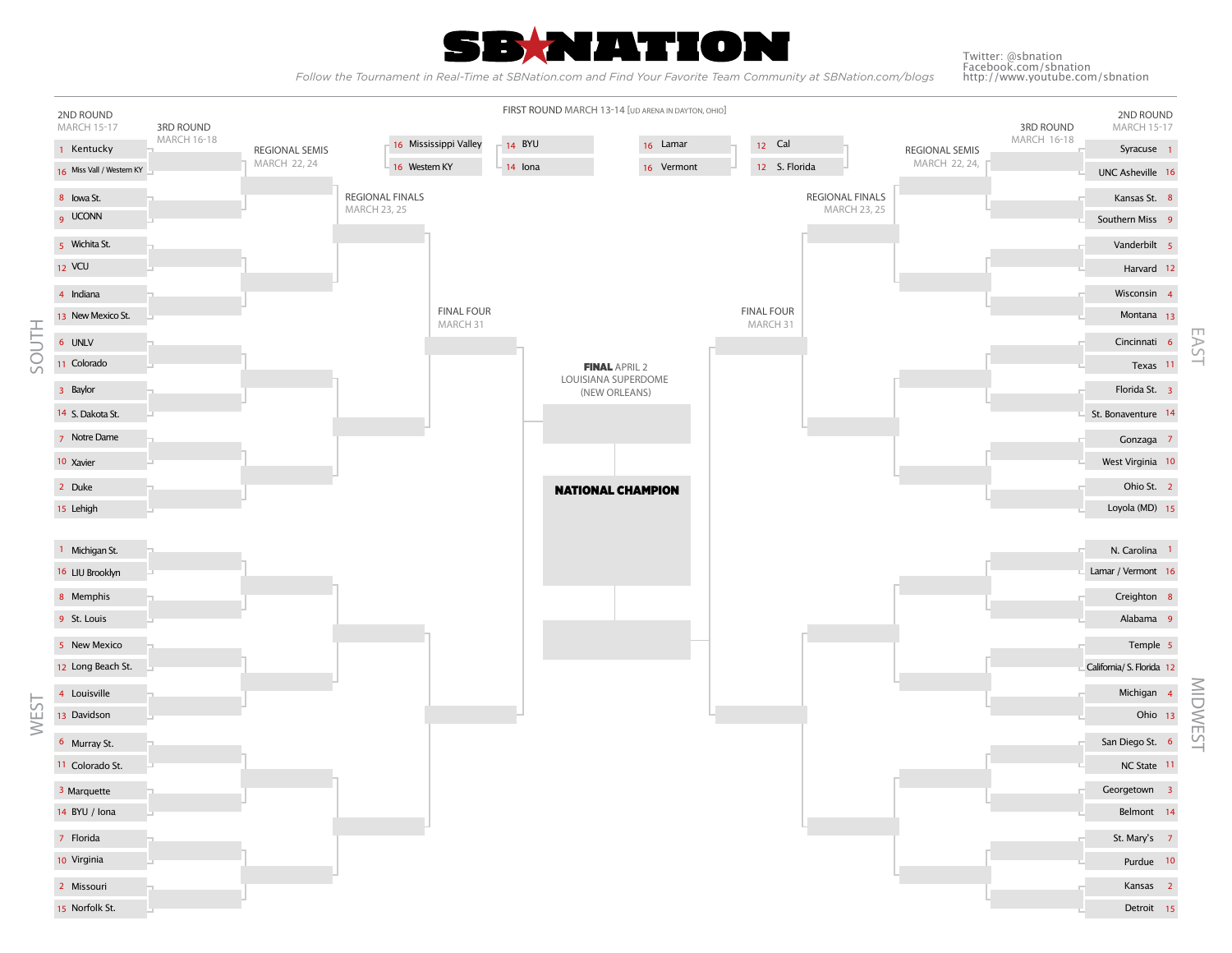

 *Follow the Tournament in Real-Time at SBNation.com and Find Your Favorite Team Community at SBNation.com/blogs* 

Twitter: @sbnation Facebook.com/sbnation http://www.youtube.com/sbnation

MIDWEST EAST

**MIDWEST** 

5  $\overline{C}$  $\frac{1}{2}$ 

**2ND ROUND** MARCH 15-17 **2ND ROUND 3RD ROUND** MARCH 15-17 MARCH 16-18 **3RD ROUND** MARCH 16-18 **REGIONAL SEMIS** MARCH 22, 24 **REGIONAL SEMIS** MARCH 22, 24, **REGIONAL FINALS** MARCH 23, 25 **REGIONAL FINALS** MARCH 23, 25 **FINAL FOUR** MARCH 31 **FINAL FOUR** MARCH 31 FINAL APRIL 2 LOUISIANA SUPERDOME (NEW ORLEANS) **FIRST ROUND** MARCH 13-14 [UD ARENA IN DAYTON, OHIO] SOUTH WEST NATIONAL CHAMPION 1 Kentucky 16 Miss Vall / Western KY 8 Iowa St. UCONN 9 Wichita St. 5 12 VCU 4 Indiana 13 New Mexico St. Notre Dame 7 10 Xavier Duke 2 Lehigh 15 UNLV 6 Colorado 11 Baylor 3 14 S. Dakota St. 1 Michigan St. 16 LIU Brooklyn 8 Memphis St. Louis 9 5 New Mexico 12 Long Beach St. Louisville 4 13 Davidson 6 Murray St. 3 Marquette 11 Colorado St. BYU / Iona 14 7 Florida 10 Virginia Missouri 2 Norfolk St. 15 Syracuse 1 UNC Asheville 16 Kansas St. 8 Southern Miss 9 Vanderbilt 5 Harvard 12 Wisconsin 4 Montana 13 Cincinnati Texas 11 Florida St. 3 St. Bonaventure 14 Gonzaga 7 West Virginia 10 Ohio St. 2 Loyola (MD) 15 N. Carolina 1 Lamar / Vermont 16 Creighton Alabama Temple 5 California/ S. Florida 12 Michigan 4 Ohio 13 San Diego St. 6 NC State 11 Georgetown 3 Belmont St. Mary's 7 Purdue 10 Kansas 2 Detroit 15 16 Mississippi Valley  $\begin{bmatrix} 14 & 8 \end{bmatrix}$  BYU  $\begin{bmatrix} 16 & 20 \end{bmatrix}$  Lamar Western KY  $= 14$  Iona  $= 16$  Vermont  $= 12$  S. Florida Cal 12 6 8 9 14 16 Western KY 14 BYU 14 Iona 12 S. Florida 16 Lamar